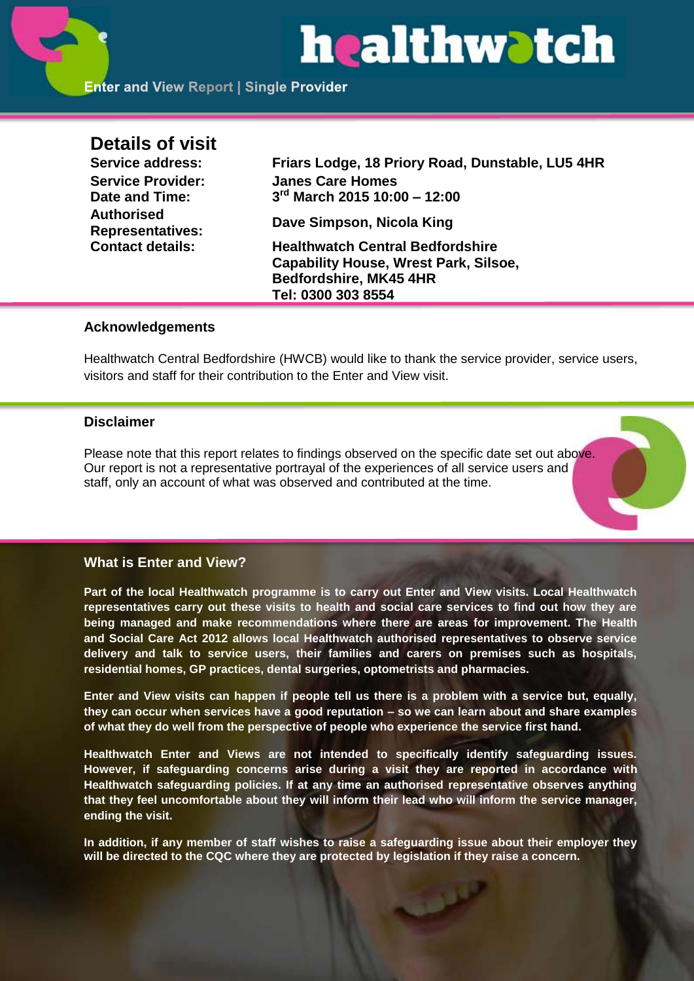# healthwatch

# **Details of visit**

**Date and Time: 3 Authorised** 

**Service address: Friars Lodge, 18 Priory Road, Dunstable, LU5 4HR Service Provider: Janes Care Homes rd March 2015 10:00 – 12:00**

**Representatives: Dave Simpson, Nicola King**

**Contact details: Healthwatch Central Bedfordshire Capability House, Wrest Park, Silsoe, Bedfordshire, MK45 4HR Tel: 0300 303 8554**

# **Acknowledgements**

Healthwatch Central Bedfordshire (HWCB) would like to thank the service provider, service users, visitors and staff for their contribution to the Enter and View visit.

# **Disclaimer**

Please note that this report relates to findings observed on the specific date set out above. Our report is not a representative portrayal of the experiences of all service users and staff, only an account of what was observed and contributed at the time.

# **What is Enter and View?**

**Part of the local Healthwatch programme is to carry out Enter and View visits. Local Healthwatch representatives carry out these visits to health and social care services to find out how they are being managed and make recommendations where there are areas for improvement. The Health and Social Care Act 2012 allows local Healthwatch authorised representatives to observe service delivery and talk to service users, their families and carers on premises such as hospitals, residential homes, GP practices, dental surgeries, optometrists and pharmacies.** 

**Enter and View visits can happen if people tell us there is a problem with a service but, equally, they can occur when services have a good reputation – so we can learn about and share examples of what they do well from the perspective of people who experience the service first hand.**

**Healthwatch Enter and Views are not intended to specifically identify safeguarding issues. However, if safeguarding concerns arise during a visit they are reported in accordance with Healthwatch safeguarding policies. If at any time an authorised representative observes anything that they feel uncomfortable about they will inform their lead who will inform the service manager, ending the visit.** 

**In addition, if any member of staff wishes to raise a safeguarding issue about their employer they will be directed to the CQC where they are protected by legislation if they raise a concern.**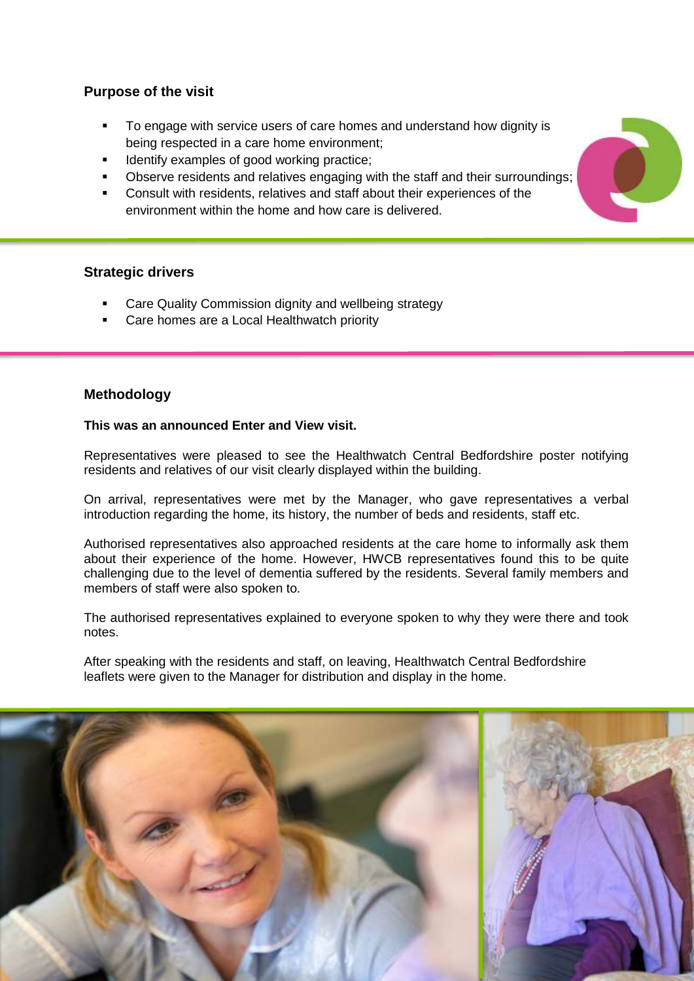# **Purpose of the visit**

- To engage with service users of care homes and understand how dignity is being respected in a care home environment;
- Identify examples of good working practice;
- Observe residents and relatives engaging with the staff and their surroundings;
- Consult with residents, relatives and staff about their experiences of the environment within the home and how care is delivered.

# **Strategic drivers**

- Care Quality Commission dignity and wellbeing strategy
- Care homes are a Local Healthwatch priority

#### **Methodology**

#### **This was an announced Enter and View visit.**

Representatives were pleased to see the Healthwatch Central Bedfordshire poster notifying residents and relatives of our visit clearly displayed within the building.

On arrival, representatives were met by the Manager, who gave representatives a verbal introduction regarding the home, its history, the number of beds and residents, staff etc.

Authorised representatives also approached residents at the care home to informally ask them about their experience of the home. However, HWCB representatives found this to be quite challenging due to the level of dementia suffered by the residents. Several family members and members of staff were also spoken to.

The authorised representatives explained to everyone spoken to why they were there and took notes.

After speaking with the residents and staff, on leaving, Healthwatch Central Bedfordshire leaflets were given to the Manager for distribution and display in the home.



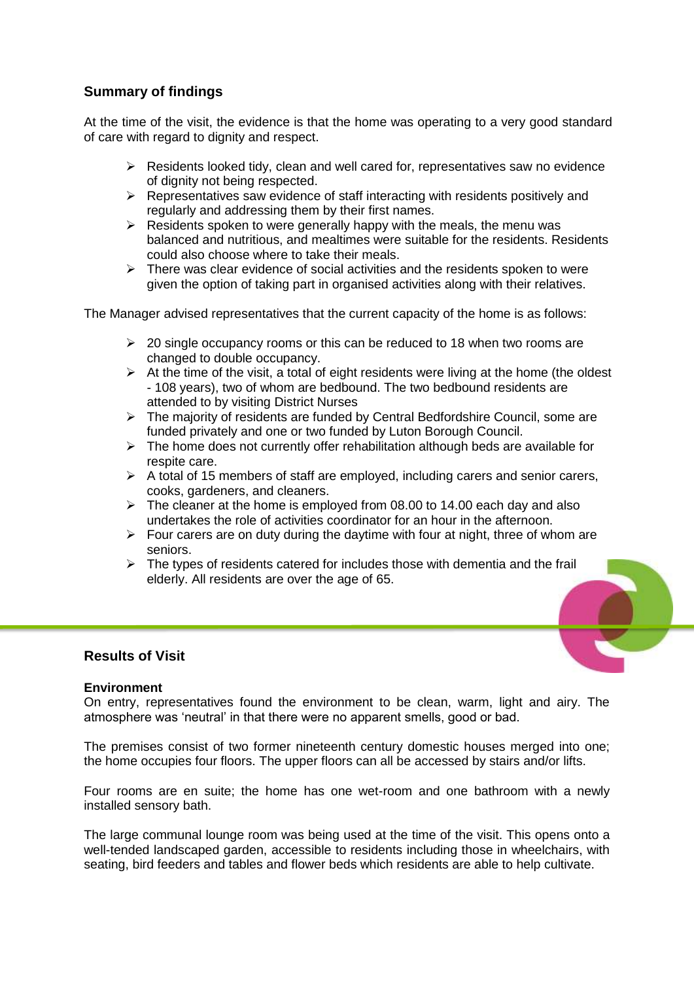# **Summary of findings**

At the time of the visit, the evidence is that the home was operating to a very good standard of care with regard to dignity and respect.

- $\triangleright$  Residents looked tidy, clean and well cared for, representatives saw no evidence of dignity not being respected.
- $\triangleright$  Representatives saw evidence of staff interacting with residents positively and regularly and addressing them by their first names.
- $\triangleright$  Residents spoken to were generally happy with the meals, the menu was balanced and nutritious, and mealtimes were suitable for the residents. Residents could also choose where to take their meals.
- $\triangleright$  There was clear evidence of social activities and the residents spoken to were given the option of taking part in organised activities along with their relatives.

The Manager advised representatives that the current capacity of the home is as follows:

- $\geq$  20 single occupancy rooms or this can be reduced to 18 when two rooms are changed to double occupancy.
- $\triangleright$  At the time of the visit, a total of eight residents were living at the home (the oldest - 108 years), two of whom are bedbound. The two bedbound residents are attended to by visiting District Nurses
- $\triangleright$  The majority of residents are funded by Central Bedfordshire Council, some are funded privately and one or two funded by Luton Borough Council.
- $\triangleright$  The home does not currently offer rehabilitation although beds are available for respite care.
- $\triangleright$  A total of 15 members of staff are employed, including carers and senior carers, cooks, gardeners, and cleaners.
- $\geq$  The cleaner at the home is employed from 08.00 to 14.00 each day and also undertakes the role of activities coordinator for an hour in the afternoon.
- $\triangleright$  Four carers are on duty during the daytime with four at night, three of whom are seniors.
- $\triangleright$  The types of residents catered for includes those with dementia and the frail elderly. All residents are over the age of 65.



# **Results of Visit**

#### **Environment**

On entry, representatives found the environment to be clean, warm, light and airy. The atmosphere was 'neutral' in that there were no apparent smells, good or bad.

The premises consist of two former nineteenth century domestic houses merged into one; the home occupies four floors. The upper floors can all be accessed by stairs and/or lifts.

Four rooms are en suite; the home has one wet-room and one bathroom with a newly installed sensory bath.

The large communal lounge room was being used at the time of the visit. This opens onto a well-tended landscaped garden, accessible to residents including those in wheelchairs, with seating, bird feeders and tables and flower beds which residents are able to help cultivate.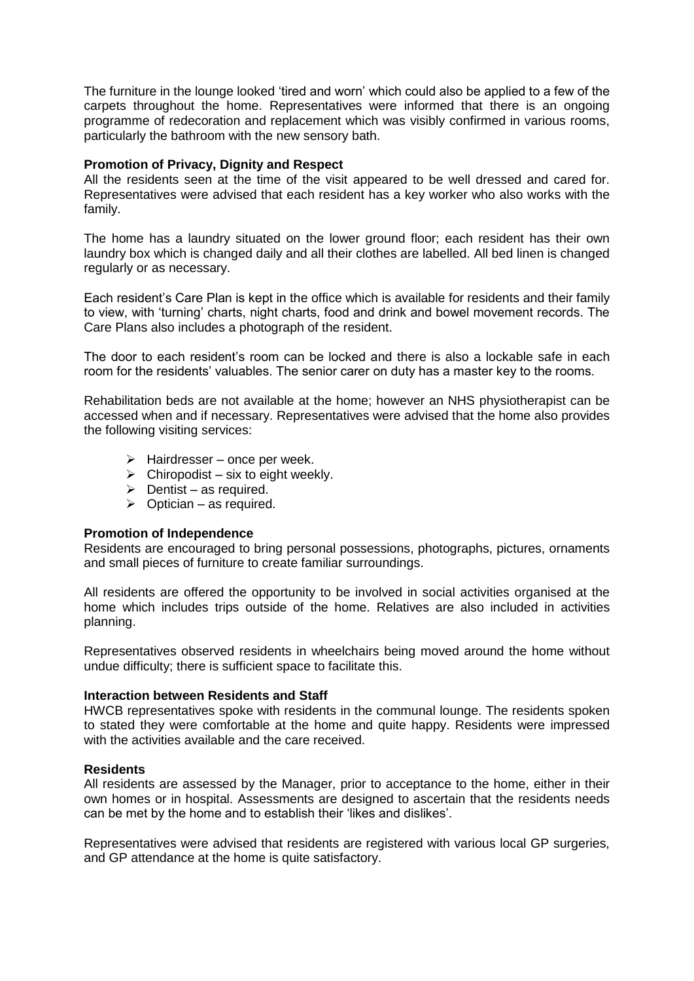The furniture in the lounge looked 'tired and worn' which could also be applied to a few of the carpets throughout the home. Representatives were informed that there is an ongoing programme of redecoration and replacement which was visibly confirmed in various rooms, particularly the bathroom with the new sensory bath.

#### **Promotion of Privacy, Dignity and Respect**

All the residents seen at the time of the visit appeared to be well dressed and cared for. Representatives were advised that each resident has a key worker who also works with the family.

The home has a laundry situated on the lower ground floor; each resident has their own laundry box which is changed daily and all their clothes are labelled. All bed linen is changed regularly or as necessary.

Each resident's Care Plan is kept in the office which is available for residents and their family to view, with 'turning' charts, night charts, food and drink and bowel movement records. The Care Plans also includes a photograph of the resident.

The door to each resident's room can be locked and there is also a lockable safe in each room for the residents' valuables. The senior carer on duty has a master key to the rooms.

Rehabilitation beds are not available at the home; however an NHS physiotherapist can be accessed when and if necessary. Representatives were advised that the home also provides the following visiting services:

- $\triangleright$  Hairdresser once per week.
- $\triangleright$  Chiropodist six to eight weekly.
- $\triangleright$  Dentist as required.
- $\triangleright$  Optician as required.

#### **Promotion of Independence**

Residents are encouraged to bring personal possessions, photographs, pictures, ornaments and small pieces of furniture to create familiar surroundings.

All residents are offered the opportunity to be involved in social activities organised at the home which includes trips outside of the home. Relatives are also included in activities planning.

Representatives observed residents in wheelchairs being moved around the home without undue difficulty; there is sufficient space to facilitate this.

#### **Interaction between Residents and Staff**

HWCB representatives spoke with residents in the communal lounge. The residents spoken to stated they were comfortable at the home and quite happy. Residents were impressed with the activities available and the care received.

#### **Residents**

All residents are assessed by the Manager, prior to acceptance to the home, either in their own homes or in hospital. Assessments are designed to ascertain that the residents needs can be met by the home and to establish their 'likes and dislikes'.

Representatives were advised that residents are registered with various local GP surgeries, and GP attendance at the home is quite satisfactory.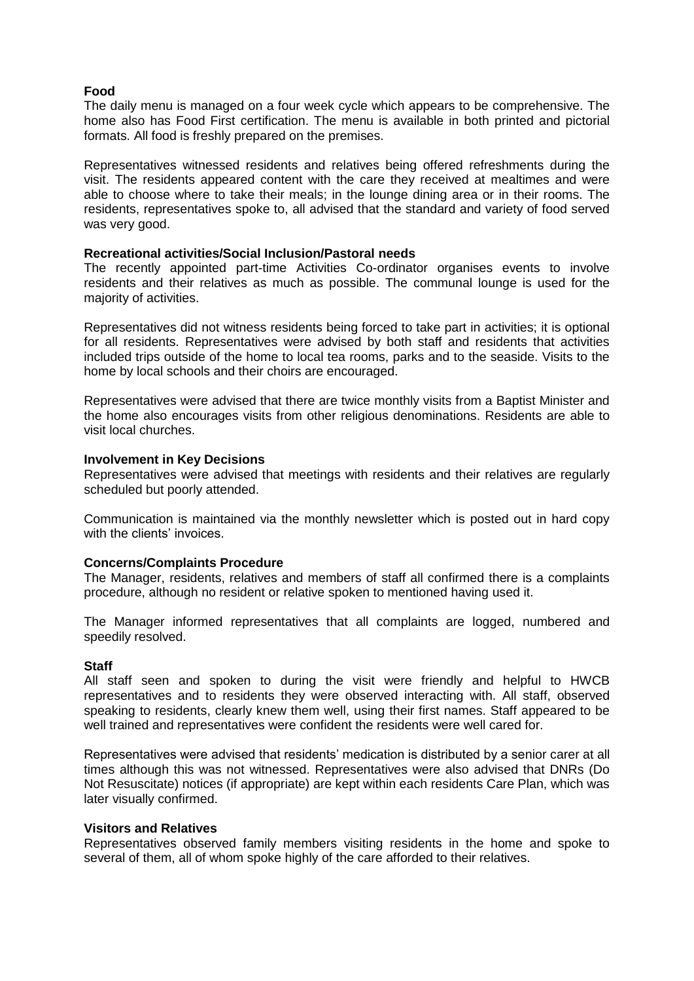#### **Food**

The daily menu is managed on a four week cycle which appears to be comprehensive. The home also has Food First certification. The menu is available in both printed and pictorial formats. All food is freshly prepared on the premises.

Representatives witnessed residents and relatives being offered refreshments during the visit. The residents appeared content with the care they received at mealtimes and were able to choose where to take their meals; in the lounge dining area or in their rooms. The residents, representatives spoke to, all advised that the standard and variety of food served was very good.

#### **Recreational activities/Social Inclusion/Pastoral needs**

The recently appointed part-time Activities Co-ordinator organises events to involve residents and their relatives as much as possible. The communal lounge is used for the majority of activities.

Representatives did not witness residents being forced to take part in activities; it is optional for all residents. Representatives were advised by both staff and residents that activities included trips outside of the home to local tea rooms, parks and to the seaside. Visits to the home by local schools and their choirs are encouraged.

Representatives were advised that there are twice monthly visits from a Baptist Minister and the home also encourages visits from other religious denominations. Residents are able to visit local churches.

#### **Involvement in Key Decisions**

Representatives were advised that meetings with residents and their relatives are regularly scheduled but poorly attended.

Communication is maintained via the monthly newsletter which is posted out in hard copy with the clients' invoices.

#### **Concerns/Complaints Procedure**

The Manager, residents, relatives and members of staff all confirmed there is a complaints procedure, although no resident or relative spoken to mentioned having used it.

The Manager informed representatives that all complaints are logged, numbered and speedily resolved.

#### **Staff**

All staff seen and spoken to during the visit were friendly and helpful to HWCB representatives and to residents they were observed interacting with. All staff, observed speaking to residents, clearly knew them well, using their first names. Staff appeared to be well trained and representatives were confident the residents were well cared for.

Representatives were advised that residents' medication is distributed by a senior carer at all times although this was not witnessed. Representatives were also advised that DNRs (Do Not Resuscitate) notices (if appropriate) are kept within each residents Care Plan, which was later visually confirmed.

#### **Visitors and Relatives**

Representatives observed family members visiting residents in the home and spoke to several of them, all of whom spoke highly of the care afforded to their relatives.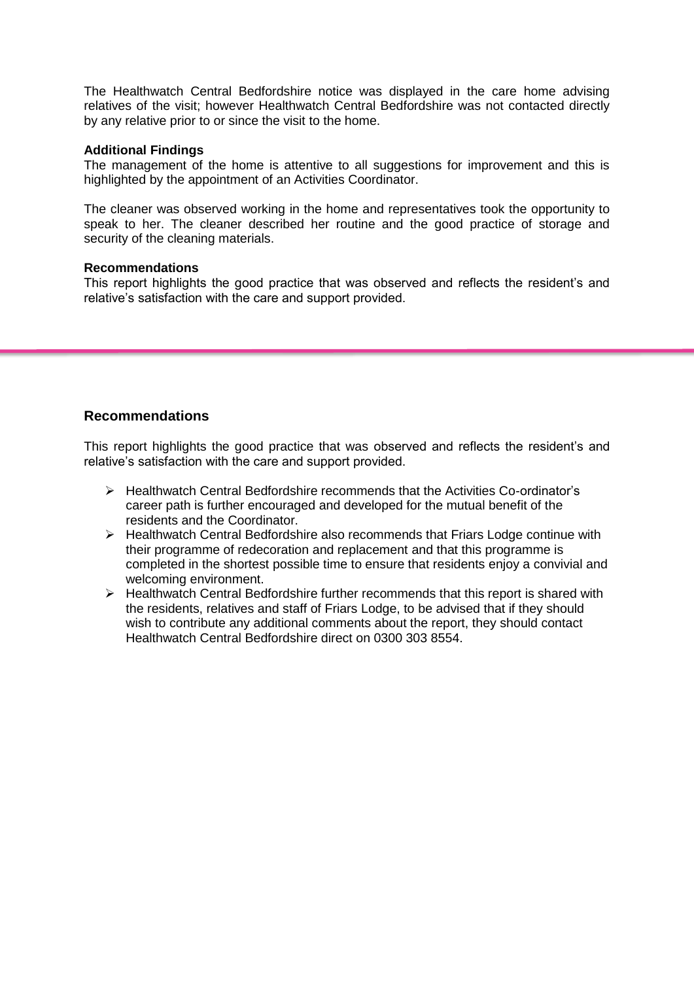The Healthwatch Central Bedfordshire notice was displayed in the care home advising relatives of the visit; however Healthwatch Central Bedfordshire was not contacted directly by any relative prior to or since the visit to the home.

#### **Additional Findings**

The management of the home is attentive to all suggestions for improvement and this is highlighted by the appointment of an Activities Coordinator.

The cleaner was observed working in the home and representatives took the opportunity to speak to her. The cleaner described her routine and the good practice of storage and security of the cleaning materials.

#### **Recommendations**

This report highlights the good practice that was observed and reflects the resident's and relative's satisfaction with the care and support provided.

# **Recommendations**

This report highlights the good practice that was observed and reflects the resident's and relative's satisfaction with the care and support provided.

- Healthwatch Central Bedfordshire recommends that the Activities Co-ordinator's career path is further encouraged and developed for the mutual benefit of the residents and the Coordinator.
- $\triangleright$  Healthwatch Central Bedfordshire also recommends that Friars Lodge continue with their programme of redecoration and replacement and that this programme is completed in the shortest possible time to ensure that residents enjoy a convivial and welcoming environment.
- $\triangleright$  Healthwatch Central Bedfordshire further recommends that this report is shared with the residents, relatives and staff of Friars Lodge, to be advised that if they should wish to contribute any additional comments about the report, they should contact Healthwatch Central Bedfordshire direct on 0300 303 8554.